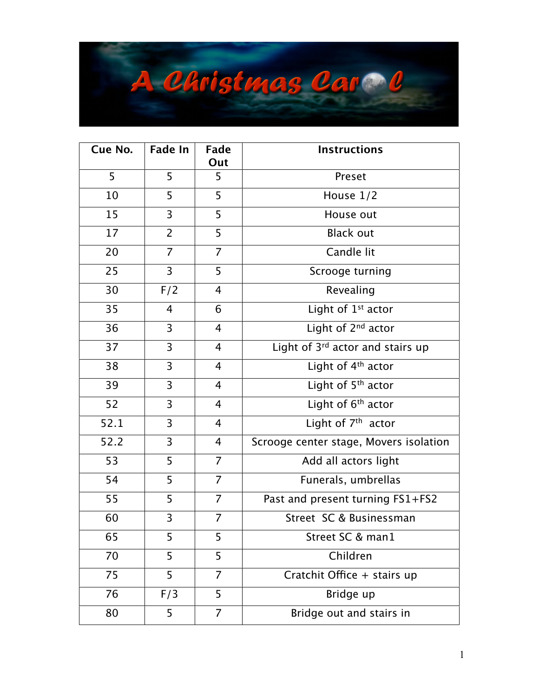

| Cue No. | <b>Fade In</b> | Fade<br>Out    | <b>Instructions</b>                    |
|---------|----------------|----------------|----------------------------------------|
| 5       | 5              | 5              | Preset                                 |
| 10      | 5              | 5              | House $1/2$                            |
| 15      | 3              | 5              | House out                              |
| 17      | $\overline{2}$ | 5              | <b>Black out</b>                       |
| 20      | $\overline{7}$ | 7              | Candle lit                             |
| 25      | $\overline{3}$ | 5              | Scrooge turning                        |
| 30      | F/2            | 4              | Revealing                              |
| 35      | $\overline{4}$ | 6              | Light of 1 <sup>st</sup> actor         |
| 36      | 3              | $\overline{4}$ | Light of 2 <sup>nd</sup> actor         |
| 37      | $\overline{3}$ | 4              | Light of 3rd actor and stairs up       |
| 38      | $\overline{3}$ | $\overline{4}$ | Light of $4th$ actor                   |
| 39      | 3              | 4              | Light of $5th$ actor                   |
| 52      | 3              | $\overline{4}$ | Light of 6 <sup>th</sup> actor         |
| 52.1    | 3              | $\overline{4}$ | Light of 7 <sup>th</sup> actor         |
| 52.2    | $\overline{3}$ | 4              | Scrooge center stage, Movers isolation |
| 53      | 5              | $\overline{7}$ | Add all actors light                   |
| 54      | 5              | $\overline{7}$ | Funerals, umbrellas                    |
| 55      | 5              | $\overline{7}$ | Past and present turning FS1+FS2       |
| 60      | 3              | $\overline{7}$ | Street SC & Businessman                |
| 65      | 5              | 5              | Street SC & man1                       |
| 70      | 5              | 5              | Children                               |
| 75      | 5              | 7              | Cratchit Office + stairs up            |
| 76      | F/3            | 5              | Bridge up                              |
| 80      | 5              | $\overline{7}$ | Bridge out and stairs in               |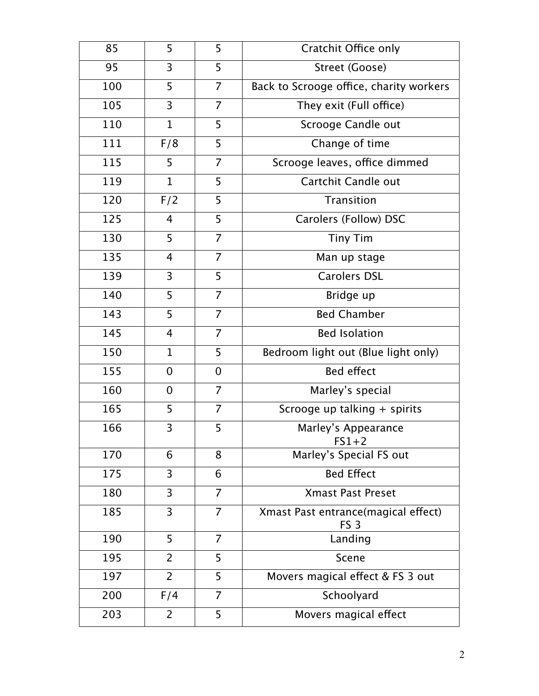| 85  | 5              | 5              | Cratchit Office only                                   |
|-----|----------------|----------------|--------------------------------------------------------|
| 95  | 3              | 5              | Street (Goose)                                         |
| 100 | 5              | $\overline{7}$ | Back to Scrooge office, charity workers                |
| 105 | 3              | $\overline{7}$ | They exit (Full office)                                |
| 110 | $\mathbf 1$    | 5              | Scrooge Candle out                                     |
| 111 | F/8            | 5              | Change of time                                         |
| 115 | 5              | $\overline{7}$ | Scrooge leaves, office dimmed                          |
| 119 | $\mathbf{1}$   | 5              | Cartchit Candle out                                    |
| 120 | F/2            | 5              | <b>Transition</b>                                      |
| 125 | $\overline{4}$ | 5              | Carolers (Follow) DSC                                  |
| 130 | 5              | $\overline{7}$ | <b>Tiny Tim</b>                                        |
| 135 | 4              | $\overline{7}$ | Man up stage                                           |
| 139 | 3              | 5              | <b>Carolers DSL</b>                                    |
| 140 | 5              | $\overline{7}$ | Bridge up                                              |
| 143 | 5              | $\overline{7}$ | <b>Bed Chamber</b>                                     |
| 145 | 4              | 7              | <b>Bed Isolation</b>                                   |
| 150 | $\mathbf 1$    | 5              | Bedroom light out (Blue light only)                    |
| 155 | 0              | $\overline{0}$ | <b>Bed effect</b>                                      |
| 160 | $\overline{0}$ | $\overline{7}$ | Marley's special                                       |
| 165 | 5              | 7              | Scrooge up talking + spirits                           |
| 166 | 3              | 5              | Marley's Appearance<br>$FS1+2$                         |
| 170 | 6              | 8              | Marley's Special FS out                                |
| 175 | 3              | 6              | <b>Bed Effect</b>                                      |
| 180 | $\overline{3}$ | $\overline{7}$ | <b>Xmast Past Preset</b>                               |
| 185 | 3              | 7              | Xmast Past entrance(magical effect)<br>FS <sub>3</sub> |
| 190 | 5              | $\overline{7}$ | Landing                                                |
| 195 | $\overline{2}$ | 5              | Scene                                                  |
| 197 | $\overline{2}$ | 5              | Movers magical effect & FS 3 out                       |
| 200 | F/4            | 7              | Schoolyard                                             |
| 203 | $\overline{2}$ | 5              | Movers magical effect                                  |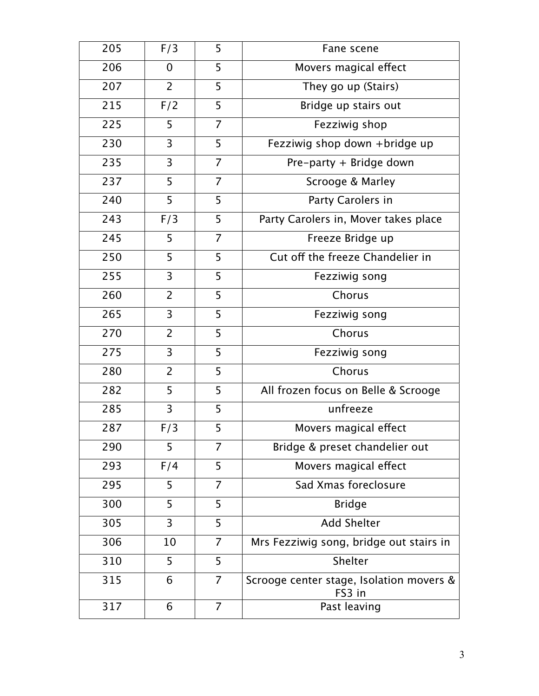| 205 | F/3            | 5              | Fane scene                                         |
|-----|----------------|----------------|----------------------------------------------------|
| 206 | 0              | 5              | Movers magical effect                              |
| 207 | $\overline{2}$ | 5              | They go up (Stairs)                                |
| 215 | F/2            | 5              | Bridge up stairs out                               |
| 225 | 5              | $\overline{7}$ | Fezziwig shop                                      |
| 230 | 3              | 5              | Fezziwig shop down +bridge up                      |
| 235 | 3              | 7              | Pre-party + Bridge down                            |
| 237 | 5              | $\overline{7}$ | Scrooge & Marley                                   |
| 240 | 5              | 5              | Party Carolers in                                  |
| 243 | F/3            | 5              | Party Carolers in, Mover takes place               |
| 245 | 5              | $\overline{7}$ | Freeze Bridge up                                   |
| 250 | 5              | 5              | Cut off the freeze Chandelier in                   |
| 255 | 3              | 5              | Fezziwig song                                      |
| 260 | $\overline{2}$ | 5              | Chorus                                             |
| 265 | 3              | 5              | Fezziwig song                                      |
| 270 | $\overline{2}$ | 5              | Chorus                                             |
| 275 | 3              | 5              | Fezziwig song                                      |
| 280 | $\overline{2}$ | 5              | Chorus                                             |
| 282 | 5              | 5              | All frozen focus on Belle & Scrooge                |
| 285 | 3              | 5              | unfreeze                                           |
| 287 | F/3            | 5              | Movers magical effect                              |
| 290 | 5              | 7              | Bridge & preset chandelier out                     |
| 293 | F/4            | 5              | Movers magical effect                              |
| 295 | 5              | 7              | Sad Xmas foreclosure                               |
| 300 | 5              | 5              | <b>Bridge</b>                                      |
| 305 | 3              | 5              | <b>Add Shelter</b>                                 |
| 306 | 10             | 7              | Mrs Fezziwig song, bridge out stairs in            |
| 310 | 5              | 5              | Shelter                                            |
| 315 | 6              | 7              | Scrooge center stage, Isolation movers &<br>FS3 in |
| 317 | 6              | $\overline{7}$ | Past leaving                                       |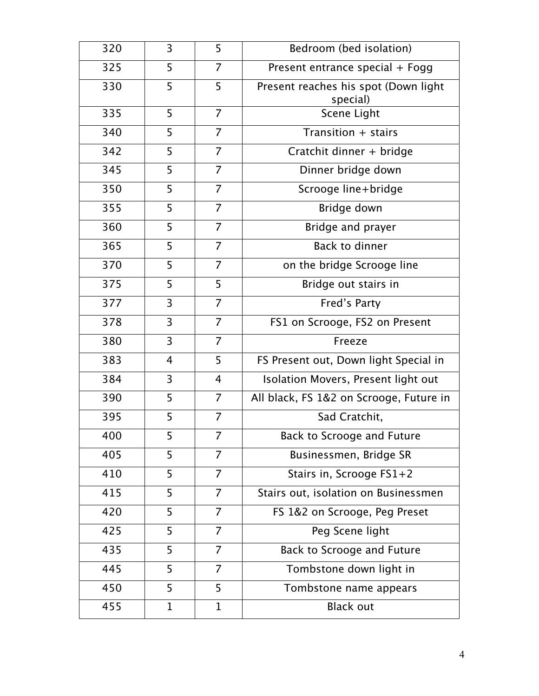| 320 | 3              | 5              | Bedroom (bed isolation)                          |
|-----|----------------|----------------|--------------------------------------------------|
| 325 | 5              | 7              | Present entrance special + Fogg                  |
| 330 | 5              | 5              | Present reaches his spot (Down light<br>special) |
| 335 | 5              | $\overline{7}$ | Scene Light                                      |
| 340 | 5              | 7              | Transition + stairs                              |
| 342 | 5              | 7              | Cratchit dinner + bridge                         |
| 345 | 5              | $\overline{7}$ | Dinner bridge down                               |
| 350 | 5              | $\overline{7}$ | Scrooge line+bridge                              |
| 355 | 5              | $\overline{7}$ | Bridge down                                      |
| 360 | 5              | 7              | Bridge and prayer                                |
| 365 | 5              | $\overline{7}$ | <b>Back to dinner</b>                            |
| 370 | 5              | $\overline{7}$ | on the bridge Scrooge line                       |
| 375 | 5              | 5              | Bridge out stairs in                             |
| 377 | 3              | $\overline{7}$ | Fred's Party                                     |
| 378 | 3              | 7              | FS1 on Scrooge, FS2 on Present                   |
| 380 | 3              | 7              | Freeze                                           |
| 383 | $\overline{4}$ | 5              | FS Present out, Down light Special in            |
| 384 | 3              | $\overline{4}$ | Isolation Movers, Present light out              |
| 390 | 5              | $\overline{7}$ | All black, FS 1&2 on Scrooge, Future in          |
| 395 | 5              | 7              | Sad Cratchit,                                    |
| 400 | 5              | 7              | Back to Scrooge and Future                       |
| 405 | 5              | $\overline{7}$ | Businessmen, Bridge SR                           |
| 410 | 5              | 7              | Stairs in, Scrooge FS1+2                         |
| 415 | 5              | $\overline{7}$ | Stairs out, isolation on Businessmen             |
| 420 | 5              | 7              | FS 1&2 on Scrooge, Peg Preset                    |
| 425 | 5              | $\overline{7}$ | Peg Scene light                                  |
| 435 | 5              | $\overline{7}$ | Back to Scrooge and Future                       |
| 445 | 5              | 7              | Tombstone down light in                          |
| 450 | 5              | 5              | Tombstone name appears                           |
| 455 | $\mathbf 1$    | $\mathbf 1$    | <b>Black out</b>                                 |